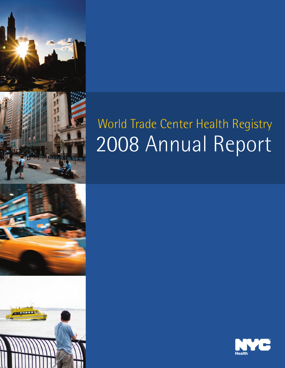



# World Trade Center Health Registry 2008 Annual Report

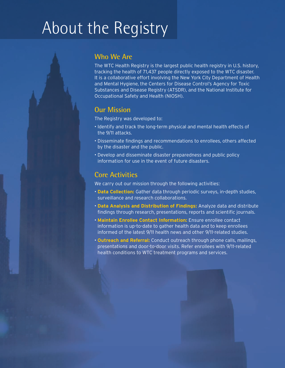## About the Registry

### **Who We Are**

The WTC Health Registry is the largest public health registry in U.S. history, tracking the health of 71,437 people directly exposed to the WTC disaster. It is a collaborative effort involving the New York City Department of Health and Mental Hygiene, the Centers for Disease Control's Agency for Toxic Substances and Disease Registry (ATSDR), and the National Institute for Occupational Safety and Health (NIOSH).

## **Our Mission**

The Registry was developed to:

- Identify and track the long-term physical and mental health effects of the 9/11 attacks.
- Disseminate findings and recommendations to enrollees, others affected by the disaster and the public.
- Develop and disseminate disaster preparedness and public policy information for use in the event of future disasters.

### **Core Activities**

We carry out our mission through the following activities:

- **Data Collection:** Gather data through periodic surveys, in-depth studies, surveillance and research collaborations.
- **Data Analysis and Distribution of Findings:** Analyze data and distribute findings through research, presentations, reports and scientific journals.
- **Maintain Enrollee Contact Information:** Ensure enrollee contact information is up-to-date to gather health data and to keep enrollees informed of the latest 9/11 health news and other 9/11-related studies.
- **Outreach and Referral:** Conduct outreach through phone calls, mailings, presentations and door-to-door visits. Refer enrollees with 9/11-related health conditions to WTC treatment programs and services.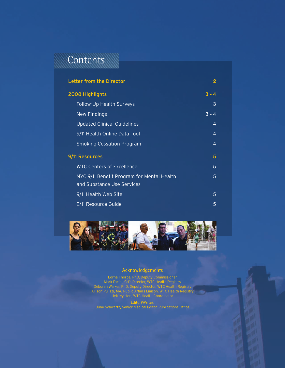## Contents

|                 | <b>Letter from the Director</b>                                          | 2              |  |
|-----------------|--------------------------------------------------------------------------|----------------|--|
| 2008 Highlights |                                                                          | $3 - 4$        |  |
|                 | Follow-Up Health Surveys                                                 | 3              |  |
|                 | New Findings                                                             | $3 - 4$        |  |
|                 | <b>Updated Clinical Guidelines</b>                                       | $\overline{4}$ |  |
|                 | 9/11 Health Online Data Tool                                             | 4              |  |
|                 | <b>Smoking Cessation Program</b>                                         | 4              |  |
| 9/11 Resources  |                                                                          | 5              |  |
|                 | <b>WTC Centers of Excellence</b>                                         | 5              |  |
|                 | NYC 9/11 Benefit Program for Mental Health<br>and Substance Use Services | 5              |  |
|                 | 9/11 Health Web Site                                                     | 5              |  |
|                 | 9/11 Resource Guide                                                      | 5              |  |



#### **Acknowledgements**

Lorna Thorpe, PhD, Deputy Commissioner Mark Farfel, ScD, Director, WTC Health Registry Deborah Walker, PhD, Deputy Director, WTC Health Registry Allison Pulizzi, MA, Public Affairs Liaison, WTC Health Registry Jeffrey Hon, WTC Health Coordinator

**Editor/Writer:** June Schwartz, Senior Medical Editor, Publications Office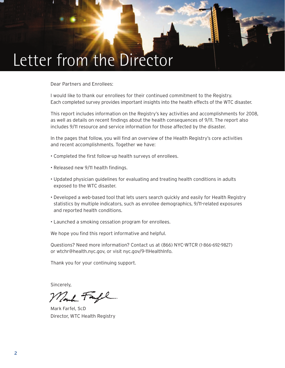## Letter from the Director

Dear Partners and Enrollees:

I would like to thank our enrollees for their continued commitment to the Registry. Each completed survey provides important insights into the health effects of the WTC disaster.

This report includes information on the Registry's key activities and accomplishments for 2008, as well as details on recent findings about the health consequences of 9/11. The report also includes 9/11 resource and service information for those affected by the disaster.

In the pages that follow, you will find an overview of the Health Registry's core activities and recent accomplishments. Together we have:

- Completed the first follow-up health surveys of enrollees.
- Released new 9/11 health findings.
- Updated physician guidelines for evaluating and treating health conditions in adults exposed to the WTC disaster.
- Developed a web-based tool that lets users search quickly and easily for Health Registry statistics by multiple indicators, such as enrollee demographics, 9/11-related exposures and reported health conditions.
- Launched a smoking cessation program for enrollees.

We hope you find this report informative and helpful.

Questions? Need more information? Contact us at (866) NYC-WTCR (1-866-692-9827) or wtchr@health.nyc.gov, or visit nyc.gov/9-11HealthInfo.

Thank you for your continuing support.

Sincerely,

Mont Fa

Mark Farfel, ScD Director, WTC Health Registry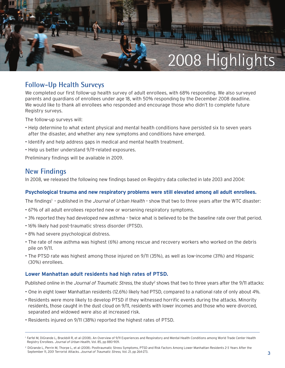

## **Follow-Up Health Surveys**

We completed our first follow-up health survey of adult enrollees, with 68% responding. We also surveyed parents and guardians of enrollees under age 18, with 50% responding by the December 2008 deadline. We would like to thank all enrollees who responded and encourage those who didn't to complete future Registry surveys.

The follow-up surveys will:

- Help determine to what extent physical and mental health conditions have persisted six to seven years after the disaster, and whether any new symptoms and conditions have emerged.
- Identify and help address gaps in medical and mental health treatment.
- Help us better understand 9/11-related exposures.

Preliminary findings will be available in 2009.

#### **New Findings**

In 2008, we released the following new findings based on Registry data collected in late 2003 and 2004:

#### **Psychological trauma and new respiratory problems were still elevated among all adult enrollees.**

The findings<sup>1</sup> - published in the Journal of Urban Health - show that two to three years after the WTC disaster:

- 67% of all adult enrollees reported new or worsening respiratory symptoms.
- 3% reported they had developed new asthma twice what is believed to be the baseline rate over that period.
- 16% likely had post-traumatic stress disorder (PTSD).
- 8% had severe psychological distress.
- The rate of new asthma was highest (6%) among rescue and recovery workers who worked on the debris pile on 9/11.
- The PTSD rate was highest among those injured on 9/11 (35%), as well as low-income (31%) and Hispanic (30%) enrollees.

#### **Lower Manhattan adult residents had high rates of PTSD.**

Published online in the *Journal of Traumatic Stress*, the study<sup>2</sup> shows that two to three years after the 9/11 attacks:

- One in eight lower Manhattan residents (12.6%) likely had PTSD, compared to a national rate of only about 4%.
- Residents were more likely to develop PTSD if they witnessed horrific events during the attacks. Minority residents, those caught in the dust cloud on 9/11, residents with lower incomes and those who were divorced, separated and widowed were also at increased risk.
- Residents injured on 9/11 (38%) reported the highest rates of PTSD.

<sup>&</sup>lt;sup>1</sup> Farfel M, DiGrande L, Brackbill R, et al (2008). An Overview of 9/11 Experiences and Respiratory and Mental Health Conditions among World Trade Center Health Registry Enrollees. Journal of Urban Health, Vol. 85, pp 880-909.

<sup>&</sup>lt;sup>2</sup> DiGrande L, Perrin M, Thorpe L, et al (2008). Posttraumatic Stress Symptoms, PTSD and Risk Factors Among Lower Manhattan Residents 2-3 Years After the September 11, 2001 Terrorist Attacks. Journal of Traumatic Stress, Vol. 21, pp 264-273.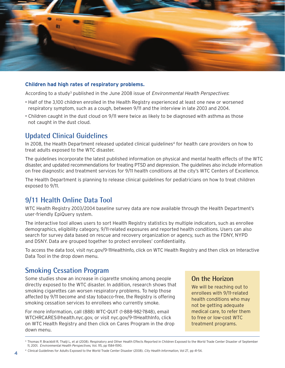

#### **Children had high rates of respiratory problems.**

According to a study<sup>3</sup> published in the June 2008 issue of *Environmental Health Perspectives*:

- Half of the 3,100 children enrolled in the Health Registry experienced at least one new or worsened respiratory symptom, such as a cough, between 9/11 and the interview in late 2003 and 2004.
- Children caught in the dust cloud on 9/11 were twice as likely to be diagnosed with asthma as those not caught in the dust cloud.

## **Updated Clinical Guidelines**

In 2008, the Health Department released updated clinical guidelines<sup>4</sup> for health care providers on how to treat adults exposed to the WTC disaster.

The guidelines incorporate the latest published information on physical and mental health effects of the WTC disaster, and updated recommendations for treating PTSD and depression. The guidelines also include information on free diagnostic and treatment services for 9/11 health conditions at the city's WTC Centers of Excellence.

The Health Department is planning to release clinical guidelines for pediatricians on how to treat children exposed to 9/11.

### **9/11 Health Online Data Tool**

WTC Health Registry 2003/2004 baseline survey data are now available through the Health Department's user-friendly EpiQuery system.

The interactive tool allows users to sort Health Registry statistics by multiple indicators, such as enrollee demographics, eligibility category, 9/11-related exposures and reported health conditions. Users can also search for survey data based on rescue and recovery organization or agency, such as the FDNY, NYPD and DSNY. Data are grouped together to protect enrollees' confidentiality.

To access the data tool, visit nyc.gov/9-11HealthInfo, click on WTC Health Registry and then click on Interactive Data Tool in the drop down menu.

### **Smoking Cessation Program**

Some studies show an increase in cigarette smoking among people directly exposed to the WTC disaster. In addition, research shows that smoking cigarettes can worsen respiratory problems. To help those affected by 9/11 become and stay tobacco-free, the Registry is offering smoking cessation services to enrollees who currently smoke.

For more information, call (888) WTC-QUIT (1-888-982-7848), email WTCHRCARES@health.nyc.gov, or visit nyc.gov/9-11HealthInfo, click on WTC Health Registry and then click on Cares Program in the drop down menu.

#### **On the Horizon**

We will be reaching out to enrollees with 9/11-related health conditions who may not be getting adequate medical care, to refer them to free or low-cost WTC treatment programs.

<sup>&</sup>lt;sup>3</sup> Thomas P, Brackbill R, Thalji L, et al (2008). Respiratory and Other Health Effects Reported in Children Exposed to the World Trade Center Disaster of September 11, 2001. Environmental Health Perspectives, Vol. 115, pp 1584-1590.

<sup>&</sup>lt;sup>4</sup> Clinical Guidelines for Adults Exposed to the World Trade Center Disaster (2008). City Health Information, Vol 27, pp 41-54.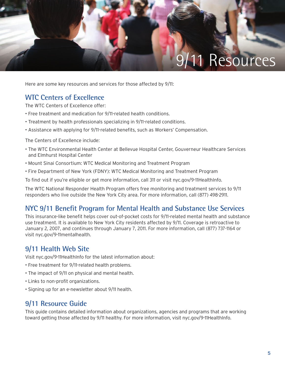

Here are some key resources and services for those affected by 9/11:

## **WTC Centers of Excellence**

The WTC Centers of Excellence offer:

- Free treatment and medication for 9/11-related health conditions.
- Treatment by health professionals specializing in 9/11-related conditions.
- Assistance with applying for 9/11-related benefits, such as Workers' Compensation.

The Centers of Excellence include:

- The WTC Environmental Health Center at Bellevue Hospital Center, Gouverneur Healthcare Services and Elmhurst Hospital Center
- Mount Sinai Consortium: WTC Medical Monitoring and Treatment Program
- Fire Department of New York (FDNY): WTC Medical Monitoring and Treatment Program

To find out if you're eligible or get more information, call 311 or visit nyc.gov/9-11HealthInfo.

The WTC National Responder Health Program offers free monitoring and treatment services to 9/11 responders who live outside the New York City area. For more information, call (877) 498-2911.

## **NYC 9/11 Benefit Program for Mental Health and Substance Use Services**

This insurance-like benefit helps cover out-of-pocket costs for 9/11-related mental health and substance use treatment. It is available to New York City residents affected by 9/11. Coverage is retroactive to January 2, 2007, and continues through January 7, 2011. For more information, call (877) 737-1164 or visit nyc.gov/9-11mentalhealth.

### **9/11 Health Web Site**

Visit nyc.gov/9-11HealthInfo for the latest information about:

- Free treatment for 9/11-related health problems.
- The impact of 9/11 on physical and mental health.
- Links to non-profit organizations.
- Signing up for an e-newsletter about 9/11 health.

### **9/11 Resource Guide**

This guide contains detailed information about organizations, agencies and programs that are working toward getting those affected by 9/11 healthy. For more information, visit nyc.gov/9-11HealthInfo.